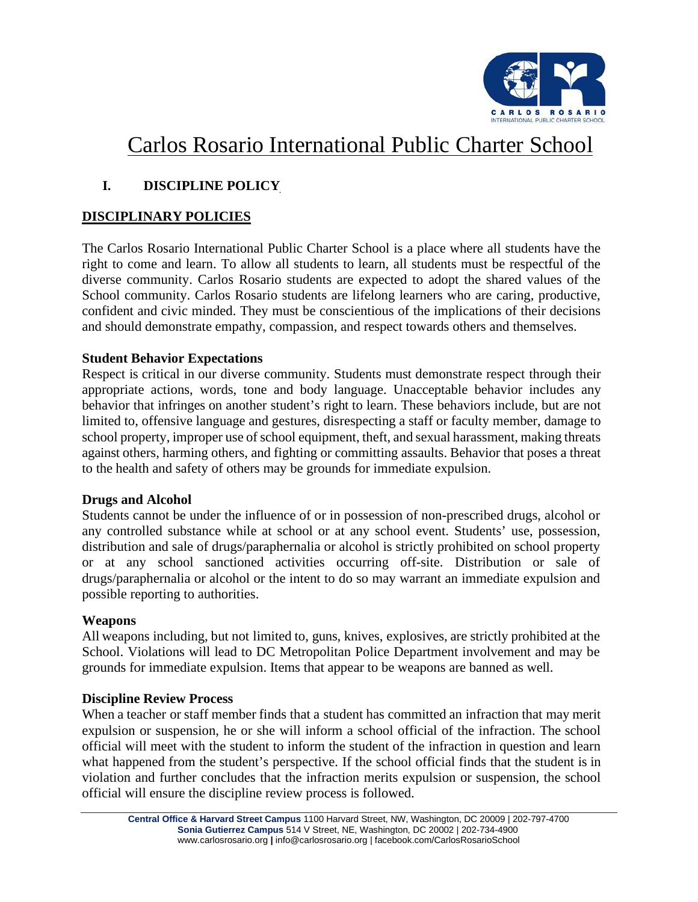

# Carlos Rosario International Public Charter School

## **I. DISCIPLINE POLICY**

#### **DISCIPLINARY POLICIES**

The Carlos Rosario International Public Charter School is a place where all students have the right to come and learn. To allow all students to learn, all students must be respectful of the diverse community. Carlos Rosario students are expected to adopt the shared values of the School community. Carlos Rosario students are lifelong learners who are caring, productive, confident and civic minded. They must be conscientious of the implications of their decisions and should demonstrate empathy, compassion, and respect towards others and themselves.

#### **Student Behavior Expectations**

Respect is critical in our diverse community. Students must demonstrate respect through their appropriate actions, words, tone and body language. Unacceptable behavior includes any behavior that infringes on another student's right to learn. These behaviors include, but are not limited to, offensive language and gestures, disrespecting a staff or faculty member, damage to school property, improper use of school equipment, theft, and sexual harassment, making threats against others, harming others, and fighting or committing assaults. Behavior that poses a threat to the health and safety of others may be grounds for immediate expulsion.

#### **Drugs and Alcohol**

Students cannot be under the influence of or in possession of non-prescribed drugs, alcohol or any controlled substance while at school or at any school event. Students' use, possession, distribution and sale of drugs/paraphernalia or alcohol is strictly prohibited on school property or at any school sanctioned activities occurring off-site. Distribution or sale of drugs/paraphernalia or alcohol or the intent to do so may warrant an immediate expulsion and possible reporting to authorities.

#### **Weapons**

All weapons including, but not limited to, guns, knives, explosives, are strictly prohibited at the School. Violations will lead to DC Metropolitan Police Department involvement and may be grounds for immediate expulsion. Items that appear to be weapons are banned as well.

#### **Discipline Review Process**

When a teacher or staff member finds that a student has committed an infraction that may merit expulsion or suspension, he or she will inform a school official of the infraction. The school official will meet with the student to inform the student of the infraction in question and learn what happened from the student's perspective. If the school official finds that the student is in violation and further concludes that the infraction merits expulsion or suspension, the school official will ensure the discipline review process is followed.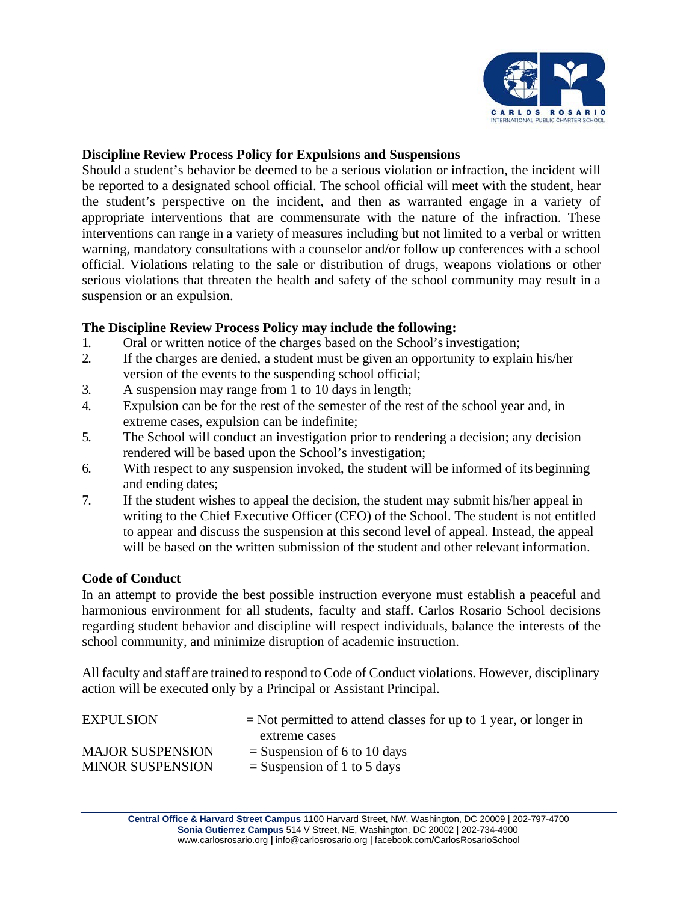

#### **Discipline Review Process Policy for Expulsions and Suspensions**

Should a student's behavior be deemed to be a serious violation or infraction, the incident will be reported to a designated school official. The school official will meet with the student, hear the student's perspective on the incident, and then as warranted engage in a variety of appropriate interventions that are commensurate with the nature of the infraction. These interventions can range in a variety of measures including but not limited to a verbal or written warning, mandatory consultations with a counselor and/or follow up conferences with a school official. Violations relating to the sale or distribution of drugs, weapons violations or other serious violations that threaten the health and safety of the school community may result in a suspension or an expulsion.

#### **The Discipline Review Process Policy may include the following:**

- 1. Oral or written notice of the charges based on the School'sinvestigation;
- 2. If the charges are denied, a student must be given an opportunity to explain his/her version of the events to the suspending school official;
- 3. A suspension may range from 1 to 10 days in length;
- 4. Expulsion can be for the rest of the semester of the rest of the school year and, in extreme cases, expulsion can be indefinite;
- 5. The School will conduct an investigation prior to rendering a decision; any decision rendered will be based upon the School's investigation;
- 6. With respect to any suspension invoked, the student will be informed of its beginning and ending dates;
- 7. If the student wishes to appeal the decision, the student may submit his/her appeal in writing to the Chief Executive Officer (CEO) of the School. The student is not entitled to appear and discuss the suspension at this second level of appeal. Instead, the appeal will be based on the written submission of the student and other relevant information.

#### **Code of Conduct**

In an attempt to provide the best possible instruction everyone must establish a peaceful and harmonious environment for all students, faculty and staff. Carlos Rosario School decisions regarding student behavior and discipline will respect individuals, balance the interests of the school community, and minimize disruption of academic instruction.

All faculty and staff are trained to respond to Code of Conduct violations. However, disciplinary action will be executed only by a Principal or Assistant Principal.

| <b>EXPULSION</b>        | $=$ Not permitted to attend classes for up to 1 year, or longer in |
|-------------------------|--------------------------------------------------------------------|
|                         | extreme cases                                                      |
| <b>MAJOR SUSPENSION</b> | $=$ Suspension of 6 to 10 days                                     |
| <b>MINOR SUSPENSION</b> | $=$ Suspension of 1 to 5 days                                      |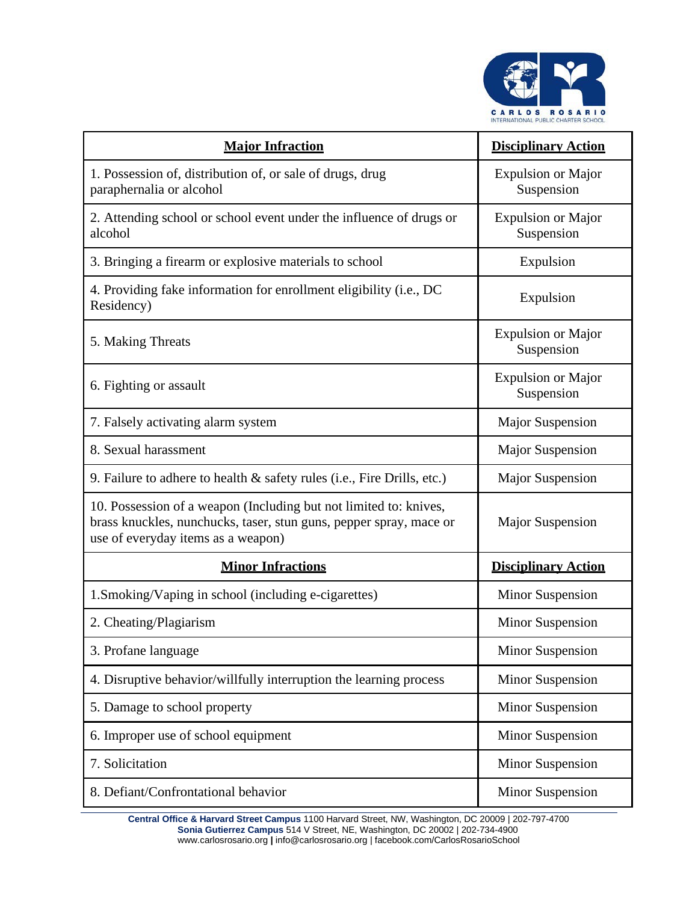

| <b>Major Infraction</b>                                                                                                                                                       | <b>Disciplinary Action</b>              |
|-------------------------------------------------------------------------------------------------------------------------------------------------------------------------------|-----------------------------------------|
| 1. Possession of, distribution of, or sale of drugs, drug<br>paraphernalia or alcohol                                                                                         | <b>Expulsion or Major</b><br>Suspension |
| 2. Attending school or school event under the influence of drugs or<br>alcohol                                                                                                | <b>Expulsion or Major</b><br>Suspension |
| 3. Bringing a firearm or explosive materials to school                                                                                                                        | Expulsion                               |
| 4. Providing fake information for enrollment eligibility (i.e., DC<br>Residency)                                                                                              | Expulsion                               |
| 5. Making Threats                                                                                                                                                             | <b>Expulsion or Major</b><br>Suspension |
| 6. Fighting or assault                                                                                                                                                        | <b>Expulsion or Major</b><br>Suspension |
| 7. Falsely activating alarm system                                                                                                                                            | <b>Major Suspension</b>                 |
| 8. Sexual harassment                                                                                                                                                          | <b>Major Suspension</b>                 |
| 9. Failure to adhere to health & safety rules (i.e., Fire Drills, etc.)                                                                                                       | <b>Major Suspension</b>                 |
| 10. Possession of a weapon (Including but not limited to: knives,<br>brass knuckles, nunchucks, taser, stun guns, pepper spray, mace or<br>use of everyday items as a weapon) | <b>Major Suspension</b>                 |
| <b>Minor Infractions</b>                                                                                                                                                      | <b>Disciplinary Action</b>              |
| 1. Smoking/Vaping in school (including e-cigarettes)                                                                                                                          | <b>Minor Suspension</b>                 |
| 2. Cheating/Plagiarism                                                                                                                                                        | <b>Minor Suspension</b>                 |
| 3. Profane language                                                                                                                                                           | <b>Minor Suspension</b>                 |
| 4. Disruptive behavior/willfully interruption the learning process                                                                                                            | <b>Minor Suspension</b>                 |
| 5. Damage to school property                                                                                                                                                  | <b>Minor Suspension</b>                 |
| 6. Improper use of school equipment                                                                                                                                           | <b>Minor Suspension</b>                 |
| 7. Solicitation                                                                                                                                                               | <b>Minor Suspension</b>                 |
| 8. Defiant/Confrontational behavior                                                                                                                                           | <b>Minor Suspension</b>                 |

**Central Office & Harvard Street Campus** 1100 Harvard Street, NW, Washington, DC 20009 | 202-797-4700 **Sonia Gutierrez Campus** 514 V Street, NE, Washington, DC 20002 | 202-734-490[0](http://www.carlosrosario.org/) [www.carlosrosario.org](http://www.carlosrosario.org/) **|** [info@carlosrosario.org |](mailto:info@carlosrosario.org) facebook.com/CarlosRosarioSchool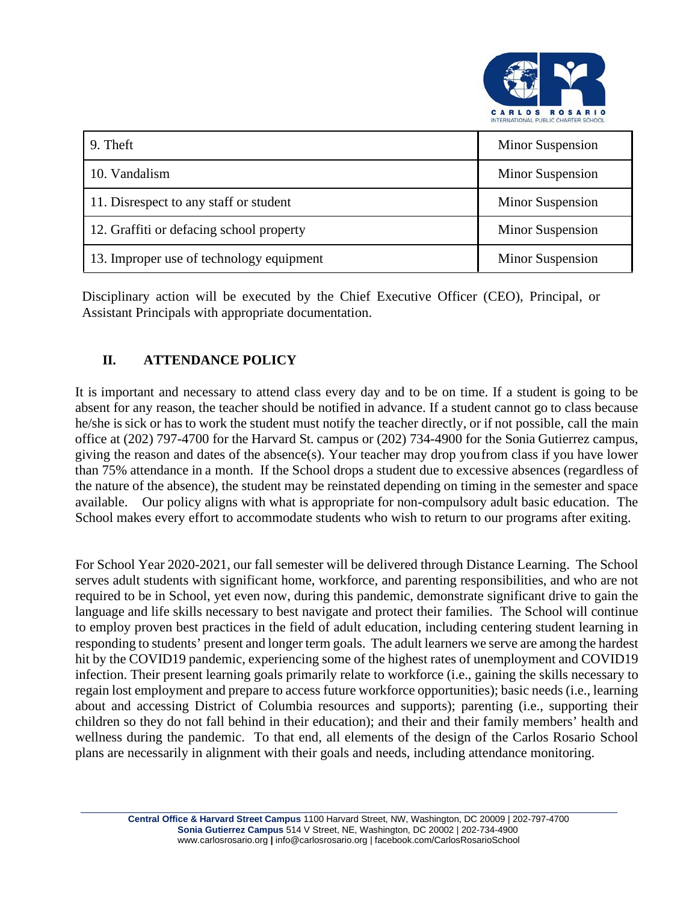

| 9. Theft                                 | Minor Suspension        |
|------------------------------------------|-------------------------|
| 10. Vandalism                            | Minor Suspension        |
| 11. Disrespect to any staff or student   | Minor Suspension        |
| 12. Graffiti or defacing school property | Minor Suspension        |
| 13. Improper use of technology equipment | <b>Minor Suspension</b> |

Disciplinary action will be executed by the Chief Executive Officer (CEO), Principal, or Assistant Principals with appropriate documentation.

## **II. ATTENDANCE POLICY**

It is important and necessary to attend class every day and to be on time. If a student is going to be absent for any reason, the teacher should be notified in advance. If a student cannot go to class because he/she issick or has to work the student must notify the teacher directly, or if not possible, call the main office at (202) 797-4700 for the Harvard St. campus or (202) 734-4900 for the Sonia Gutierrez campus, giving the reason and dates of the absence(s). Your teacher may drop youfrom class if you have lower than 75% attendance in a month. If the School drops a student due to excessive absences (regardless of the nature of the absence), the student may be reinstated depending on timing in the semester and space available. Our policy aligns with what is appropriate for non-compulsory adult basic education. The School makes every effort to accommodate students who wish to return to our programs after exiting.

For School Year 2020-2021, our fall semester will be delivered through Distance Learning. The School serves adult students with significant home, workforce, and parenting responsibilities, and who are not required to be in School, yet even now, during this pandemic, demonstrate significant drive to gain the language and life skills necessary to best navigate and protect their families. The School will continue to employ proven best practices in the field of adult education, including centering student learning in responding to students' present and longer term goals. The adult learners we serve are among the hardest hit by the COVID19 pandemic, experiencing some of the highest rates of unemployment and COVID19 infection. Their present learning goals primarily relate to workforce (i.e., gaining the skills necessary to regain lost employment and prepare to access future workforce opportunities); basic needs (i.e., learning about and accessing District of Columbia resources and supports); parenting (i.e., supporting their children so they do not fall behind in their education); and their and their family members' health and wellness during the pandemic. To that end, all elements of the design of the Carlos Rosario School plans are necessarily in alignment with their goals and needs, including attendance monitoring.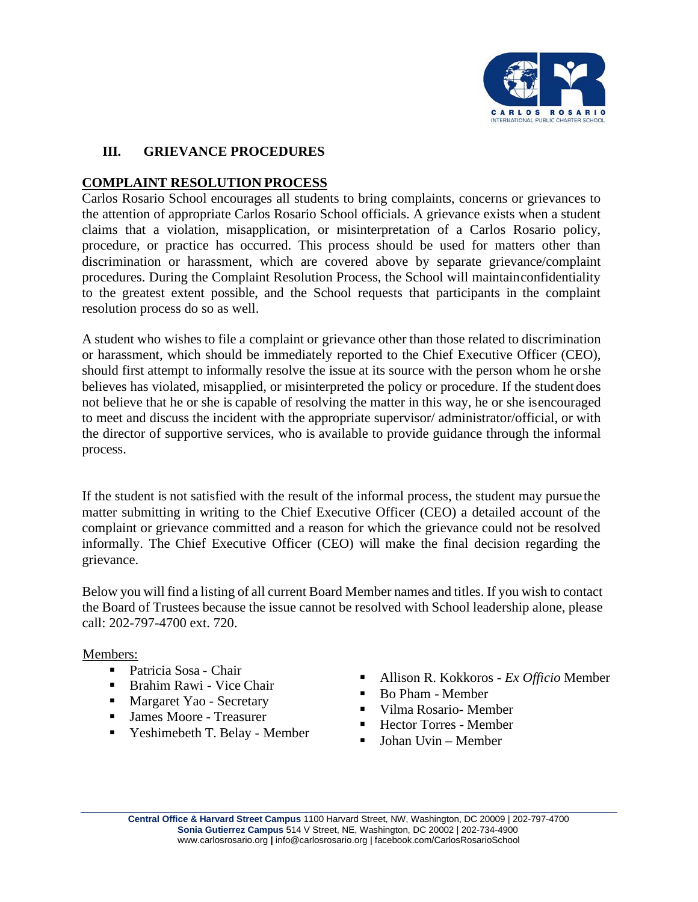

#### **III. GRIEVANCE PROCEDURES**

#### **COMPLAINT RESOLUTION PROCESS**

Carlos Rosario School encourages all students to bring complaints, concerns or grievances to the attention of appropriate Carlos Rosario School officials. A grievance exists when a student claims that a violation, misapplication, or misinterpretation of a Carlos Rosario policy, procedure, or practice has occurred. This process should be used for matters other than discrimination or harassment, which are covered above by separate grievance/complaint procedures. During the Complaint Resolution Process, the School will maintainconfidentiality to the greatest extent possible, and the School requests that participants in the complaint resolution process do so as well.

A student who wishes to file a complaint or grievance other than those related to discrimination or harassment, which should be immediately reported to the Chief Executive Officer (CEO), should first attempt to informally resolve the issue at its source with the person whom he orshe believes has violated, misapplied, or misinterpreted the policy or procedure. If the studentdoes not believe that he or she is capable of resolving the matter in this way, he or she isencouraged to meet and discuss the incident with the appropriate supervisor/ administrator/official, or with the director of supportive services, who is available to provide guidance through the informal process.

If the student is not satisfied with the result of the informal process, the student may pursue the matter submitting in writing to the Chief Executive Officer (CEO) a detailed account of the complaint or grievance committed and a reason for which the grievance could not be resolved informally. The Chief Executive Officer (CEO) will make the final decision regarding the grievance.

Below you will find a listing of all current Board Member names and titles. If you wish to contact the Board of Trustees because the issue cannot be resolved with School leadership alone, please call: 202-797-4700 ext. 720.

Members:

- Patricia Sosa Chair
- Brahim Rawi Vice Chair
- Margaret Yao Secretary
- James Moore Treasurer
- Yeshimebeth T. Belay Member
- Allison R. Kokkoros *Ex Officio* Member
- Bo Pham Member
- Vilma Rosario- Member
- Hector Torres Member
- Johan Uvin Member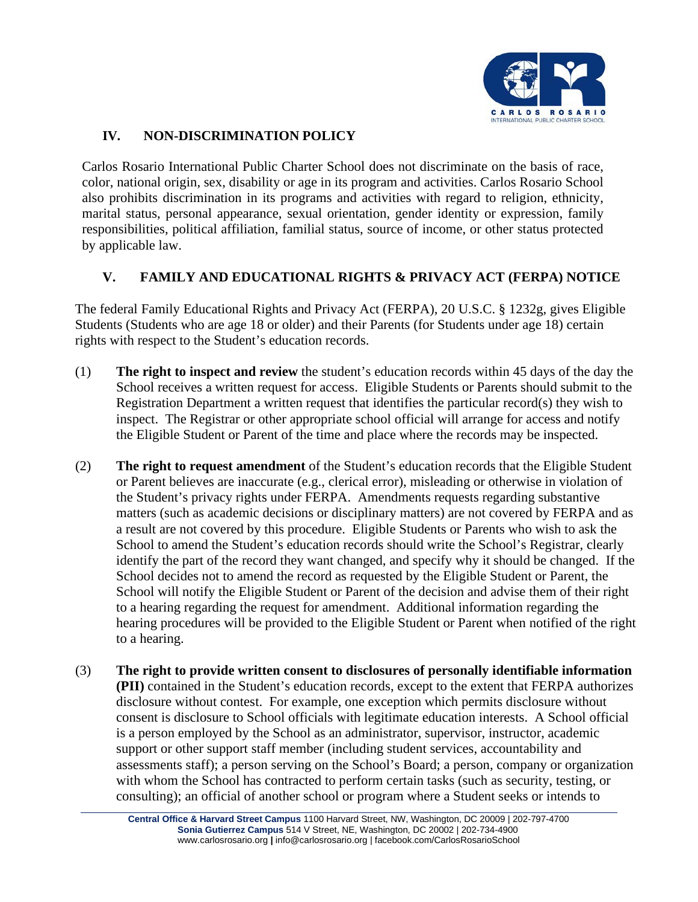

## **IV. NON-DISCRIMINATION POLICY**

Carlos Rosario International Public Charter School does not discriminate on the basis of race, color, national origin, sex, disability or age in its program and activities. Carlos Rosario School also prohibits discrimination in its programs and activities with regard to religion, ethnicity, marital status, personal appearance, sexual orientation, gender identity or expression, family responsibilities, political affiliation, familial status, source of income, or other status protected by applicable law.

### **V. FAMILY AND EDUCATIONAL RIGHTS & PRIVACY ACT (FERPA) NOTICE**

The federal Family Educational Rights and Privacy Act (FERPA), 20 U.S.C. § 1232g, gives Eligible Students (Students who are age 18 or older) and their Parents (for Students under age 18) certain rights with respect to the Student's education records.

- (1) **The right to inspect and review** the student's education records within 45 days of the day the School receives a written request for access. Eligible Students or Parents should submit to the Registration Department a written request that identifies the particular record(s) they wish to inspect. The Registrar or other appropriate school official will arrange for access and notify the Eligible Student or Parent of the time and place where the records may be inspected.
- (2) **The right to request amendment** of the Student's education records that the Eligible Student or Parent believes are inaccurate (e.g., clerical error), misleading or otherwise in violation of the Student's privacy rights under FERPA. Amendments requests regarding substantive matters (such as academic decisions or disciplinary matters) are not covered by FERPA and as a result are not covered by this procedure. Eligible Students or Parents who wish to ask the School to amend the Student's education records should write the School's Registrar, clearly identify the part of the record they want changed, and specify why it should be changed. If the School decides not to amend the record as requested by the Eligible Student or Parent, the School will notify the Eligible Student or Parent of the decision and advise them of their right to a hearing regarding the request for amendment. Additional information regarding the hearing procedures will be provided to the Eligible Student or Parent when notified of the right to a hearing.
- (3) **The right to provide written consent to disclosures of personally identifiable information (PII)** contained in the Student's education records, except to the extent that FERPA authorizes disclosure without contest. For example, one exception which permits disclosure without consent is disclosure to School officials with legitimate education interests. A School official is a person employed by the School as an administrator, supervisor, instructor, academic support or other support staff member (including student services, accountability and assessments staff); a person serving on the School's Board; a person, company or organization with whom the School has contracted to perform certain tasks (such as security, testing, or consulting); an official of another school or program where a Student seeks or intends to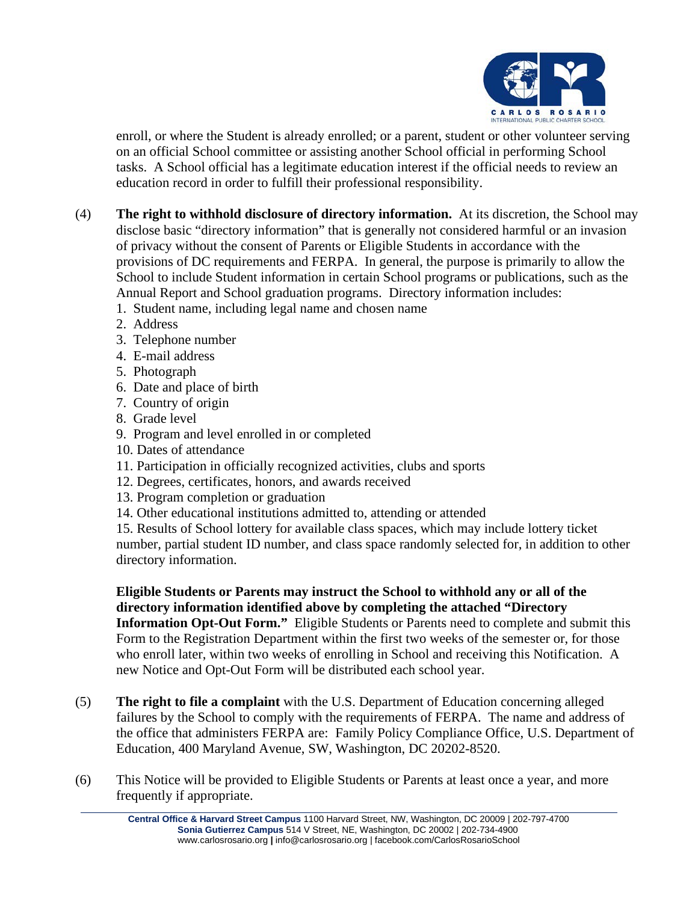

enroll, or where the Student is already enrolled; or a parent, student or other volunteer serving on an official School committee or assisting another School official in performing School tasks. A School official has a legitimate education interest if the official needs to review an education record in order to fulfill their professional responsibility.

- (4) **The right to withhold disclosure of directory information.** At its discretion, the School may disclose basic "directory information" that is generally not considered harmful or an invasion of privacy without the consent of Parents or Eligible Students in accordance with the provisions of DC requirements and FERPA. In general, the purpose is primarily to allow the School to include Student information in certain School programs or publications, such as the Annual Report and School graduation programs. Directory information includes:
	- 1. Student name, including legal name and chosen name
	- 2. Address
	- 3. Telephone number
	- 4. E-mail address
	- 5. Photograph
	- 6. Date and place of birth
	- 7. Country of origin
	- 8. Grade level
	- 9. Program and level enrolled in or completed
	- 10. Dates of attendance
	- 11. Participation in officially recognized activities, clubs and sports
	- 12. Degrees, certificates, honors, and awards received
	- 13. Program completion or graduation
	- 14. Other educational institutions admitted to, attending or attended

15. Results of School lottery for available class spaces, which may include lottery ticket number, partial student ID number, and class space randomly selected for, in addition to other directory information.

**Eligible Students or Parents may instruct the School to withhold any or all of the directory information identified above by completing the attached "Directory Information Opt-Out Form."** Eligible Students or Parents need to complete and submit this Form to the Registration Department within the first two weeks of the semester or, for those who enroll later, within two weeks of enrolling in School and receiving this Notification. A new Notice and Opt-Out Form will be distributed each school year.

- (5) **The right to file a complaint** with the U.S. Department of Education concerning alleged failures by the School to comply with the requirements of FERPA. The name and address of the office that administers FERPA are: Family Policy Compliance Office, U.S. Department of Education, 400 Maryland Avenue, SW, Washington, DC 20202-8520.
- (6) This Notice will be provided to Eligible Students or Parents at least once a year, and more frequently if appropriate.